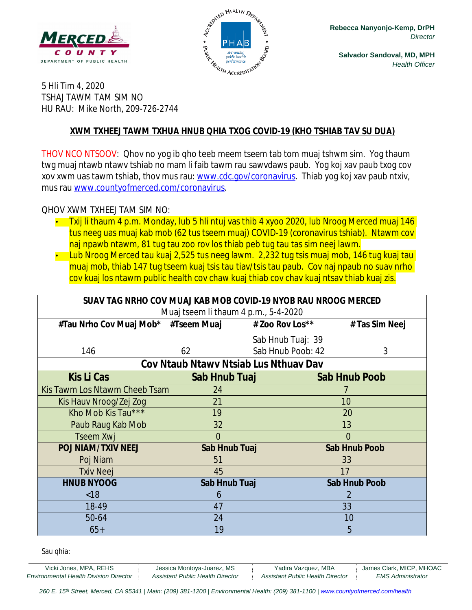



**Salvador Sandoval, MD, MPH** *Health Officer*

5 Hli Tim 4, 2020 TSHAJ TAWM TAM SIM NO HU RAU: Mike North, 209-726-2744

#### **XWM TXHEEJ TAWM TXHUA HNUB QHIA TXOG COVID-19 (KHO TSHIAB TAV SU DUA)**

THOV NCO NTSOOV: Qhov no yog ib qho teeb meem tseem tab tom muaj tshwm sim. Yog thaum twg muaj ntawb ntawv tshiab no mam li faib tawm rau sawvdaws paub. Yog koj xav paub txog cov xov xwm uas tawm tshiab, thov mus rau: [www.cdc.gov/coronavirus](http://www.cdc.gov/coronavirus). Thiab yog koj xav paub ntxiv, mus rau [www.countyofmerced.com/coronavirus.](http://www.countyofmerced.com/coronavirus)

#### QHOV XWM TXHEEJ TAM SIM NO:

- Txij li thaum 4 p.m. Monday, lub 5 hli ntuj vas thib 4 xyoo 2020, lub Nroog Merced muaj 146 tus neeg uas muaj kab mob (62 tus tseem muaj) COVID-19 (coronavirus tshiab). Ntawm cov naj npawb ntawm, 81 tug tau zoo rov los thiab peb tug tau tas sim neej lawm.
- Lub Nroog Merced tau kuaj 2,525 tus neeg lawm. 2,232 tug tsis muaj mob, 146 tug kuaj tau muaj mob, thiab 147 tug tseem kuaj tsis tau tiav/tsis tau paub. Cov naj npaub no suav nrho cov kuaj los ntawm public health cov chaw kuaj thiab cov chav kuaj ntsav thiab kuaj zis.

| SUAV TAG NRHO COV MUAJ KAB MOB COVID-19 NYOB RAU NROOG MERCED |                      |                   |                      |  |
|---------------------------------------------------------------|----------------------|-------------------|----------------------|--|
| Muaj tseem li thaum 4 p.m., 5-4-2020                          |                      |                   |                      |  |
| #Tau Nrho Cov Muaj Mob* #Tseem Muaj                           |                      | # Zoo Rov Los**   | # Tas Sim Neej       |  |
|                                                               |                      | Sab Hnub Tuaj: 39 |                      |  |
| 146                                                           | 62                   | Sab Hnub Poob: 42 | 3                    |  |
| Cov Ntaub Ntawy Ntsiab Lus Nthuay Dav                         |                      |                   |                      |  |
| <b>Kis Li Cas</b>                                             | Sab Hnub Tuaj        |                   | <b>Sab Hnub Poob</b> |  |
| Kis Tawm Los Ntawm Cheeb Tsam                                 | 24                   |                   |                      |  |
| Kis Hauv Nroog/Zej Zog                                        | 21                   |                   | 10                   |  |
| Kho Mob Kis Tau***                                            | 19                   |                   | 20                   |  |
| Paub Raug Kab Mob                                             | 32                   |                   | 13                   |  |
| Tseem Xwj                                                     | $\overline{0}$       |                   | $\overline{0}$       |  |
| <b>POJ NIAM/TXIV NEEJ</b>                                     | <b>Sab Hnub Tuaj</b> |                   | <b>Sab Hnub Poob</b> |  |
| Poj Niam                                                      | 51                   |                   | 33                   |  |
| <b>Txiv Neej</b>                                              | 45                   |                   | 17                   |  |
| <b>HNUB NYOOG</b>                                             | Sab Hnub Tuaj        |                   | <b>Sab Hnub Poob</b> |  |
| < 18                                                          | 6                    |                   | $\mathcal{P}$        |  |
| 18-49                                                         | 47                   |                   | 33                   |  |
| 50-64                                                         | 24                   |                   | 10                   |  |
| $65+$                                                         | 19                   |                   | 5                    |  |

Sau qhia: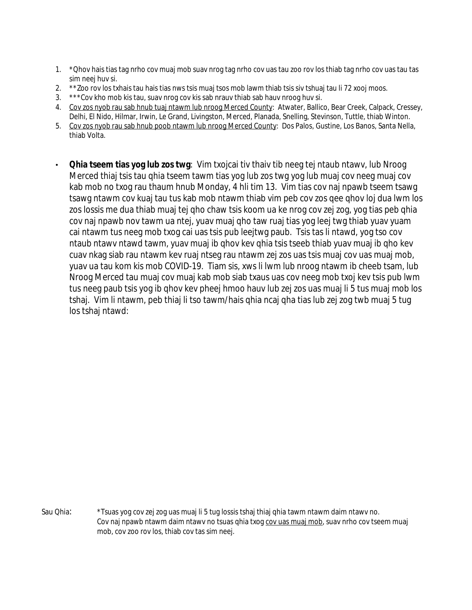- 1. \*Qhov hais tias tag nrho cov muaj mob suav nrog tag nrho cov uas tau zoo rov los thiab tag nrho cov uas tau tas sim neej huv si.
- 2. \*\*Zoo rov los txhais tau hais tias nws tsis muaj tsos mob lawm thiab tsis siv tshuaj tau li 72 xooj moos.
- 3. \*\*\*Cov kho mob kis tau, suav nrog cov kis sab nrauv thiab sab hauv nroog huv si.
- 4. Cov zos nyob rau sab hnub tuaj ntawm lub nroog Merced County: Atwater, Ballico, Bear Creek, Calpack, Cressey, Delhi, El Nido, Hilmar, Irwin, Le Grand, Livingston, Merced, Planada, Snelling, Stevinson, Tuttle, thiab Winton.
- 5. Cov zos nyob rau sab hnub poob ntawm lub nroog Merced County: Dos Palos, Gustine, Los Banos, Santa Nella, thiab Volta.
- **Qhia tseem tias yog lub zos twg**: Vim txojcai tiv thaiv tib neeg tej ntaub ntawv, lub Nroog Merced thiaj tsis tau qhia tseem tawm tias yog lub zos twg yog lub muaj cov neeg muaj cov kab mob no txog rau thaum hnub Monday, 4 hli tim 13. Vim tias cov naj npawb tseem tsawg tsawg ntawm cov kuaj tau tus kab mob ntawm thiab vim peb cov zos qee qhov loj dua lwm los zos lossis me dua thiab muaj tej qho chaw tsis koom ua ke nrog cov zej zog, yog tias peb qhia cov naj npawb nov tawm ua ntej, yuav muaj qho taw ruaj tias yog leej twg thiab yuav yuam cai ntawm tus neeg mob txog cai uas tsis pub leejtwg paub. Tsis tas li ntawd, yog tso cov ntaub ntawv ntawd tawm, yuav muaj ib qhov kev qhia tsis tseeb thiab yuav muaj ib qho kev cuav nkag siab rau ntawm kev ruaj ntseg rau ntawm zej zos uas tsis muaj cov uas muaj mob, yuav ua tau kom kis mob COVID-19. Tiam sis, xws li lwm lub nroog ntawm ib cheeb tsam, lub Nroog Merced tau muaj cov muaj kab mob siab txaus uas cov neeg mob txoj kev tsis pub lwm tus neeg paub tsis yog ib qhov kev pheej hmoo hauv lub zej zos uas muaj li 5 tus muaj mob los tshaj. Vim li ntawm, peb thiaj li tso tawm/hais qhia ncaj qha tias lub zej zog twb muaj 5 tug los tshaj ntawd:

Sau Qhia: \*Tsuas yog cov zej zog uas muaj li 5 tug lossis tshaj thiaj qhia tawm ntawm daim ntawv no. Cov naj npawb ntawm daim ntawv no tsuas qhia txog cov uas muaj mob, suav nrho cov tseem muaj mob, cov zoo rov los, thiab cov tas sim neej.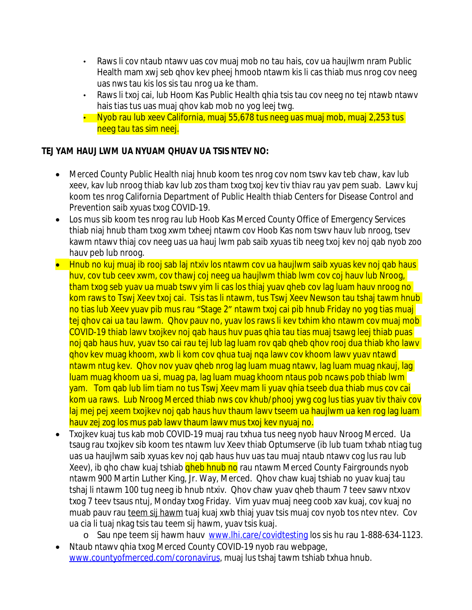- Raws li cov ntaub ntawv uas cov muaj mob no tau hais, cov ua haujlwm nram Public Health mam xwj seb qhov kev pheej hmoob ntawm kis li cas thiab mus nrog cov neeg uas nws tau kis los sis tau nrog ua ke tham.
- Raws li txoj cai, lub Hoom Kas Public Health qhia tsis tau cov neeg no tej ntawb ntawv hais tias tus uas muaj qhov kab mob no yog leej twg.
- Nyob rau lub xeev California, muaj 55,678 tus neeg uas muaj mob, muaj 2,253 tus neeg tau tas sim neej.

### **TEJ YAM HAUJ LWM UA NYUAM QHUAV UA TSIS NTEV NO:**

- Merced County Public Health niaj hnub koom tes nrog cov nom tswv kav teb chaw, kav lub xeev, kav lub nroog thiab kav lub zos tham txog txoj kev tiv thiav rau yav pem suab. Lawv kuj koom tes nrog California Department of Public Health thiab Centers for Disease Control and Prevention saib xyuas txog COVID-19.
- Los mus sib koom tes nrog rau lub Hoob Kas Merced County Office of Emergency Services thiab niaj hnub tham txog xwm txheej ntawm cov Hoob Kas nom tswv hauv lub nroog, tsev kawm ntawv thiaj cov neeg uas ua hauj lwm pab saib xyuas tib neeg txoj kev noj qab nyob zoo hauv peb lub nroog.
- Hnub no kuj muaj ib rooj sab laj ntxiv los ntawm cov ua haujlwm saib xyuas kev noj gab haus huv, cov tub ceev xwm, cov thawj coj neeg ua haujlwm thiab lwm cov coj hauv lub Nroog, tham txog seb yuav ua muab tswv yim li cas los thiaj yuav qheb cov lag luam hauv nroog no kom raws to Tswj Xeev txoj cai. Tsis tas li ntawm, tus Tswj Xeev Newson tau tshaj tawm hnub no tias lub Xeev yuav pib mus rau "Stage 2" ntawm txoj cai pib hnub Friday no yog tias muaj tej qhov cai ua tau lawm. Qhov pauv no, yuav los raws li kev txhim kho ntawm cov muaj mob COVID-19 thiab lawv txojkev noj qab haus huv puas qhia tau tias muaj tsawg leej thiab puas noj gab haus huv, yuav tso cai rau tej lub lag luam rov gab gheb ghov rooj dua thiab kho lawv qhov kev muag khoom, xwb li kom cov qhua tuaj nqa lawv cov khoom lawv yuav ntawd ntawm ntug kev. Qhov nov yuav qheb nrog lag luam muag ntawv, lag luam muag nkauj, lag luam muag khoom ua si, muag pa, lag luam muag khoom ntaus pob ncaws pob thiab lwm yam. Tom qab lub lim tiam no tus Tswj Xeev mam li yuav qhia tseeb dua thiab mus cov cai kom ua raws. Lub Nroog Merced thiab nws cov khub/phooj ywg cog lus tias yuav tiv thaiv cov laj mej pej xeem txojkev noj gab haus huv thaum lawy tseem ua haujlwm ua ken rog lag luam hauv zej zog los mus pab lawv thaum lawv mus txoj kev nyuaj no.
- Txojkev kuaj tus kab mob COVID-19 muaj rau txhua tus neeg nyob hauv Nroog Merced. Ua tsaug rau txojkev sib koom tes ntawm luv Xeev thiab Optumserve (ib lub tuam txhab ntiag tug uas ua haujlwm saib xyuas kev noj qab haus huv uas tau muaj ntaub ntawv cog lus rau lub Xeev), ib qho chaw kuaj tshiab <mark>qheb hnub no</mark> rau ntawm Merced County Fairgrounds nyob ntawm 900 Martin Luther King, Jr. Way, Merced. Qhov chaw kuaj tshiab no yuav kuaj tau tshaj li ntawm 100 tug neeg ib hnub ntxiv. Qhov chaw yuav qheb thaum 7 teev sawv ntxov txog 7 teev tsaus ntuj, Monday txog Friday. Vim yuav muaj neeg coob xav kuaj, cov kuaj no muab pauv rau teem sij hawm tuaj kuaj xwb thiaj yuav tsis muaj cov nyob tos ntev ntev. Cov ua cia li tuaj nkag tsis tau teem sij hawm, yuav tsis kuaj.
	- o Sau npe teem sij hawm hauv [www.lhi.care/covidtesting](http://www.lhi.care/covidtesting) los sis hu rau 1-888-634-1123. Ntaub ntawv qhia txog Merced County COVID-19 nyob rau webpage,
	- [www.countyofmerced.com/coronavirus](http://www.countyofmerced.com/coronavirus), muaj lus tshaj tawm tshiab txhua hnub.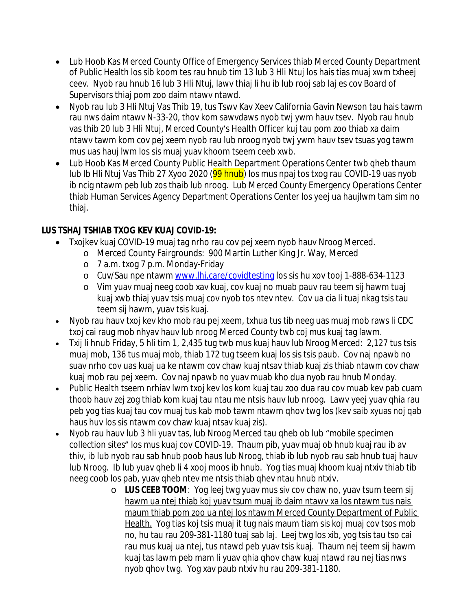- Lub Hoob Kas Merced County Office of Emergency Services thiab Merced County Department of Public Health los sib koom tes rau hnub tim 13 lub 3 Hli Ntuj los hais tias muaj xwm txheej ceev. Nyob rau hnub 16 lub 3 Hli Ntuj, lawv thiaj li hu ib lub rooj sab laj es cov Board of Supervisors thiaj pom zoo daim ntawv ntawd.
- Nyob rau lub 3 Hli Ntuj Vas Thib 19, tus Tswv Kav Xeev California Gavin Newson tau hais tawm rau nws daim ntawv N-33-20, thov kom sawvdaws nyob twj ywm hauv tsev. Nyob rau hnub vas thib 20 lub 3 Hli Ntuj, Merced County's Health Officer kuj tau pom zoo thiab xa daim ntawv tawm kom cov pej xeem nyob rau lub nroog nyob twj ywm hauv tsev tsuas yog tawm mus uas hauj lwm los sis muaj yuav khoom tseem ceeb xwb.
- Lub Hoob Kas Merced County Public Health Department Operations Center twb qheb thaum lub Ib Hli Ntuj Vas Thib 27 Xyoo 2020 (99 hnub) los mus npaj tos txog rau COVID-19 uas nyob ib ncig ntawm peb lub zos thaib lub nroog. Lub Merced County Emergency Operations Center thiab Human Services Agency Department Operations Center los yeej ua haujlwm tam sim no thiaj.

## **LUS TSHAJ TSHIAB TXOG KEV KUAJ COVID-19:**

- Txojkev kuaj COVID-19 muaj tag nrho rau cov pej xeem nyob hauv Nroog Merced.
	- o Merced County Fairgrounds: 900 Martin Luther King Jr. Way, Merced
	- o 7 a.m. txog 7 p.m. Monday-Friday
	- o Cuv/Sau npe ntawm [www.lhi.care/covidtesting](http://www.lhi.care/covidtesting) los sis hu xov tooj 1-888-634-1123
	- o Vim yuav muaj neeg coob xav kuaj, cov kuaj no muab pauv rau teem sij hawm tuaj kuaj xwb thiaj yuav tsis muaj cov nyob tos ntev ntev. Cov ua cia li tuaj nkag tsis tau teem sij hawm, yuav tsis kuaj.
- Nyob rau hauv txoj kev kho mob rau pej xeem, txhua tus tib neeg uas muaj mob raws li CDC txoj cai raug mob nhyav hauv lub nroog Merced County twb coj mus kuaj tag lawm.
- Txij li hnub Friday, 5 hli tim 1, 2,435 tug twb mus kuaj hauv lub Nroog Merced: 2,127 tus tsis muaj mob, 136 tus muaj mob, thiab 172 tug tseem kuaj los sis tsis paub. Cov naj npawb no suav nrho cov uas kuaj ua ke ntawm cov chaw kuaj ntsav thiab kuaj zis thiab ntawm cov chaw kuaj mob rau pej xeem. Cov naj npawb no yuav muab kho dua nyob rau hnub Monday.
- Public Health tseem nrhiav lwm txoj kev los kom kuaj tau zoo dua rau cov muab kev pab cuam thoob hauv zej zog thiab kom kuaj tau ntau me ntsis hauv lub nroog. Lawv yeej yuav qhia rau peb yog tias kuaj tau cov muaj tus kab mob tawm ntawm qhov twg los (kev saib xyuas noj qab haus huv los sis ntawm cov chaw kuaj ntsav kuaj zis).
- Nyob rau hauv lub 3 hli yuav tas, lub Nroog Merced tau gheb ob lub "mobile specimen" collection sites" los mus kuaj cov COVID-19. Thaum pib, yuav muaj ob hnub kuaj rau ib av thiv, ib lub nyob rau sab hnub poob haus lub Nroog, thiab ib lub nyob rau sab hnub tuaj hauv lub Nroog. Ib lub yuav qheb li 4 xooj moos ib hnub. Yog tias muaj khoom kuaj ntxiv thiab tib neeg coob los pab, yuav qheb ntev me ntsis thiab qhev ntau hnub ntxiv.
	- o **LUS CEEB TOOM**: Yog leej twg yuav mus siv cov chaw no, yuav tsum teem sij hawm ua ntej thiab koj yuav tsum muaj ib daim ntawv xa los ntawm tus nais maum thiab pom zoo ua ntej los ntawm Merced County Department of Public Health. Yog tias koj tsis muaj it tug nais maum tiam sis koj muaj cov tsos mob no, hu tau rau 209-381-1180 tuaj sab laj. Leej twg los xib, yog tsis tau tso cai rau mus kuaj ua ntej, tus ntawd peb yuav tsis kuaj. Thaum nej teem sij hawm kuaj tas lawm peb mam li yuav qhia qhov chaw kuaj ntawd rau nej tias nws nyob qhov twg. Yog xav paub ntxiv hu rau 209-381-1180.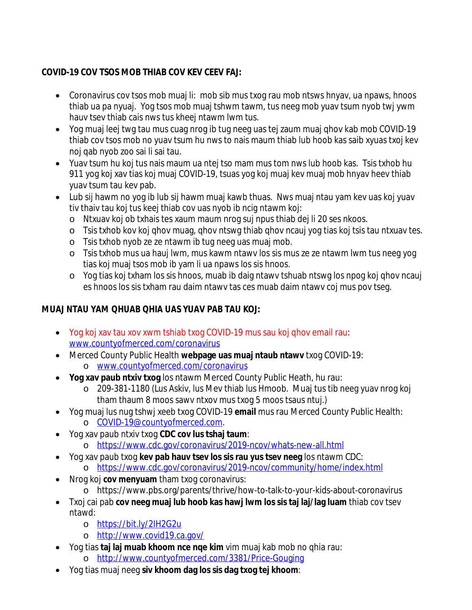### **COVID-19 COV TSOS MOB THIAB COV KEV CEEV FAJ:**

- Coronavirus cov tsos mob muaj li: mob sib mus txog rau mob ntsws hnyav, ua npaws, hnoos thiab ua pa nyuaj. Yog tsos mob muaj tshwm tawm, tus neeg mob yuav tsum nyob twj ywm hauv tsev thiab cais nws tus kheej ntawm lwm tus.
- Yog muaj leej twg tau mus cuag nrog ib tug neeg uas tej zaum muaj qhov kab mob COVID-19 thiab cov tsos mob no yuav tsum hu nws to nais maum thiab lub hoob kas saib xyuas txoj kev noj qab nyob zoo sai li sai tau.
- Yuav tsum hu koj tus nais maum ua ntej tso mam mus tom nws lub hoob kas. Tsis txhob hu 911 yog koj xav tias koj muaj COVID-19, tsuas yog koj muaj kev muaj mob hnyav heev thiab yuav tsum tau kev pab.
- Lub sij hawm no yog ib lub sij hawm muaj kawb thuas. Nws muaj ntau yam kev uas koj yuav tiv thaiv tau koj tus keej thiab cov uas nyob ib ncig ntawm koj:
	- o Ntxuav koj ob txhais tes xaum maum nrog suj npus thiab dej li 20 ses nkoos.
	- o Tsis txhob kov koj qhov muag, qhov ntswg thiab qhov ncauj yog tias koj tsis tau ntxuav tes.
	- o Tsis txhob nyob ze ze ntawm ib tug neeg uas muaj mob.
	- o Tsis txhob mus ua hauj lwm, mus kawm ntawv los sis mus ze ze ntawm lwm tus neeg yog tias koj muaj tsos mob ib yam li ua npaws los sis hnoos.
	- o Yog tias koj txham los sis hnoos, muab ib daig ntawv tshuab ntswg los npog koj qhov ncauj es hnoos los sis txham rau daim ntawv tas ces muab daim ntawv coj mus pov tseg.

# **MUAJ NTAU YAM QHUAB QHIA UAS YUAV PAB TAU KOJ:**

- Yog koj xav tau xov xwm tshiab txog COVID-19 mus sau koj qhov email rau: [www.countyofmerced.com/coronavirus](http://www.countyofmerced.com/coronavirus)
- Merced County Public Health **webpage uas muaj ntaub ntawv** txog COVID-19: o [www.countyofmerced.com/coronavirus](http://www.countyofmerced.com/coronavirus)
	- **Yog xav paub ntxiv txog** los ntawm Merced County Public Heath, hu rau:
		- o 209-381-1180 (Lus Askiv, lus Mev thiab lus Hmoob. Muaj tus tib neeg yuav nrog koj tham thaum 8 moos sawv ntxov mus txog 5 moos tsaus ntuj.)
- Yog muaj lus nug tshwj xeeb txog COVID-19 **email** mus rau Merced County Public Health:
	- o [COVID-19@countyofmerced.com.](mailto:COVID-19@countyofmerced.com)
- Yog xav paub ntxiv txog **CDC cov lus tshaj taum**:
	- o <https://www.cdc.gov/coronavirus/2019-ncov/whats-new-all.html>
- Yog xav paub txog **kev pab hauv tsev los sis rau yus tsev neeg** los ntawm CDC: o <https://www.cdc.gov/coronavirus/2019-ncov/community/home/index.html>
- Nrog koj **cov menyuam** tham txog coronavirus:
	- o https://www.pbs.org/parents/thrive/how-to-talk-to-your-kids-about-coronavirus
- Txoj cai pab **cov neeg muaj lub hoob kas hawj lwm los sis taj laj/lag luam** thiab cov tsev ntawd:
	- o <https://bit.ly/2IH2G2u>
	- o <http://www.covid19.ca.gov/>
- Yog tias **taj laj muab khoom nce nqe kim** vim muaj kab mob no qhia rau: o <http://www.countyofmerced.com/3381/Price-Gouging>
- Yog tias muaj neeg **siv khoom dag los sis dag txog tej khoom**: